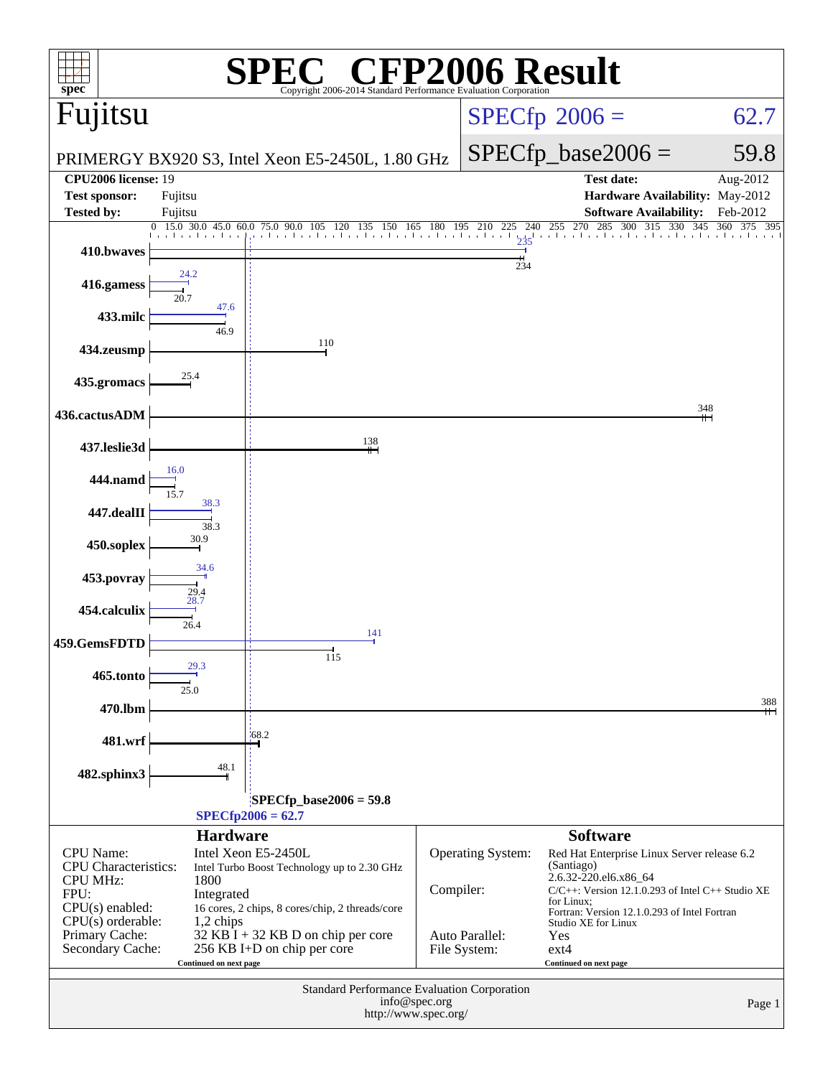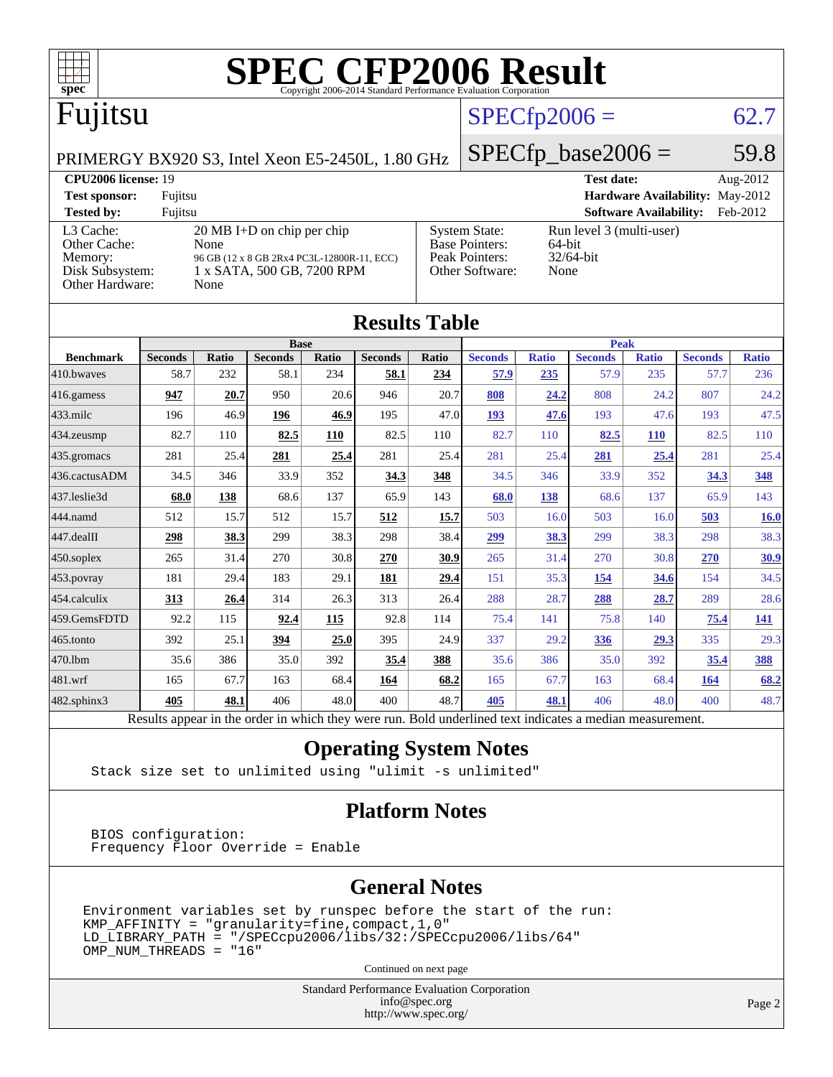

| Results Table    |                                                                                                          |       |                |            |                |       |                |              |                |              |                |              |
|------------------|----------------------------------------------------------------------------------------------------------|-------|----------------|------------|----------------|-------|----------------|--------------|----------------|--------------|----------------|--------------|
|                  | <b>Base</b>                                                                                              |       |                |            |                |       | <b>Peak</b>    |              |                |              |                |              |
| <b>Benchmark</b> | <b>Seconds</b>                                                                                           | Ratio | <b>Seconds</b> | Ratio      | <b>Seconds</b> | Ratio | <b>Seconds</b> | <b>Ratio</b> | <b>Seconds</b> | <b>Ratio</b> | <b>Seconds</b> | <b>Ratio</b> |
| 410.bwayes       | 58.7                                                                                                     | 232   | 58.1           | 234        | 58.1           | 234   | 57.9           | 235          | 57.9           | 235          | 57.7           | 236          |
| 416.gamess       | 947                                                                                                      | 20.7  | 950            | 20.6       | 946            | 20.7  | 808            | 24.2         | 808            | 24.2         | 807            | 24.2         |
| 433.milc         | 196                                                                                                      | 46.9  | 196            | 46.9       | 195            | 47.0  | 193            | 47.6         | 193            | 47.6         | 193            | 47.5         |
| 434.zeusmp       | 82.7                                                                                                     | 110   | 82.5           | <b>110</b> | 82.5           | 110   | 82.7           | 110          | 82.5           | <b>110</b>   | 82.5           | 110          |
| 435.gromacs      | 281                                                                                                      | 25.4  | 281            | 25.4       | 281            | 25.4  | 281            | 25.4         | 281            | 25.4         | 281            | 25.4         |
| 436.cactusADM    | 34.5                                                                                                     | 346   | 33.9           | 352        | 34.3           | 348   | 34.5           | 346          | 33.9           | 352          | 34.3           | <u>348</u>   |
| 437.leslie3d     | 68.0                                                                                                     | 138   | 68.6           | 137        | 65.9           | 143   | 68.0           | 138          | 68.6           | 137          | 65.9           | 143          |
| 444.namd         | 512                                                                                                      | 15.7  | 512            | 15.7       | 512            | 15.7  | 503            | 16.0         | 503            | 16.0         | 503            | 16.0         |
| 447.dealII       | 298                                                                                                      | 38.3  | 299            | 38.3       | 298            | 38.4  | 299            | 38.3         | 299            | 38.3         | 298            | 38.3         |
| 450.soplex       | 265                                                                                                      | 31.4  | 270            | 30.8       | 270            | 30.9  | 265            | 31.4         | 270            | 30.8         | <b>270</b>     | <u>30.9</u>  |
| 453.povray       | 181                                                                                                      | 29.4  | 183            | 29.1       | 181            | 29.4  | 151            | 35.3         | 154            | 34.6         | 154            | 34.5         |
| 454.calculix     | 313                                                                                                      | 26.4  | 314            | 26.3       | 313            | 26.4  | 288            | 28.7         | 288            | 28.7         | 289            | 28.6         |
| 459.GemsFDTD     | 92.2                                                                                                     | 115   | 92.4           | 115        | 92.8           | 114   | 75.4           | 141          | 75.8           | 140          | 75.4           | <u>141</u>   |
| 465.tonto        | 392                                                                                                      | 25.1  | 394            | 25.0       | 395            | 24.9  | 337            | 29.2         | 336            | 29.3         | 335            | 29.3         |
| 470.1bm          | 35.6                                                                                                     | 386   | 35.0           | 392        | 35.4           | 388   | 35.6           | 386          | 35.0           | 392          | 35.4           | 388          |
| 481.wrf          | 165                                                                                                      | 67.7  | 163            | 68.4       | 164            | 68.2  | 165            | 67.7         | 163            | 68.4         | 164            | 68.2         |
| 482.sphinx3      | 405                                                                                                      | 48.1  | 406            | 48.0       | 400            | 48.7  | 405            | 48.1         | 406            | 48.0         | 400            | 48.7         |
|                  | Results appear in the order in which they were run. Bold underlined text indicates a median measurement. |       |                |            |                |       |                |              |                |              |                |              |

#### **[Operating System Notes](http://www.spec.org/auto/cpu2006/Docs/result-fields.html#OperatingSystemNotes)**

Stack size set to unlimited using "ulimit -s unlimited"

#### **[Platform Notes](http://www.spec.org/auto/cpu2006/Docs/result-fields.html#PlatformNotes)**

 BIOS configuration: Frequency Floor Override = Enable

#### **[General Notes](http://www.spec.org/auto/cpu2006/Docs/result-fields.html#GeneralNotes)**

Environment variables set by runspec before the start of the run: KMP\_AFFINITY = "granularity=fine,compact,1,0" LD\_LIBRARY\_PATH = "/SPECcpu2006/libs/32:/SPECcpu2006/libs/64" OMP\_NUM\_THREADS = "16"

Continued on next page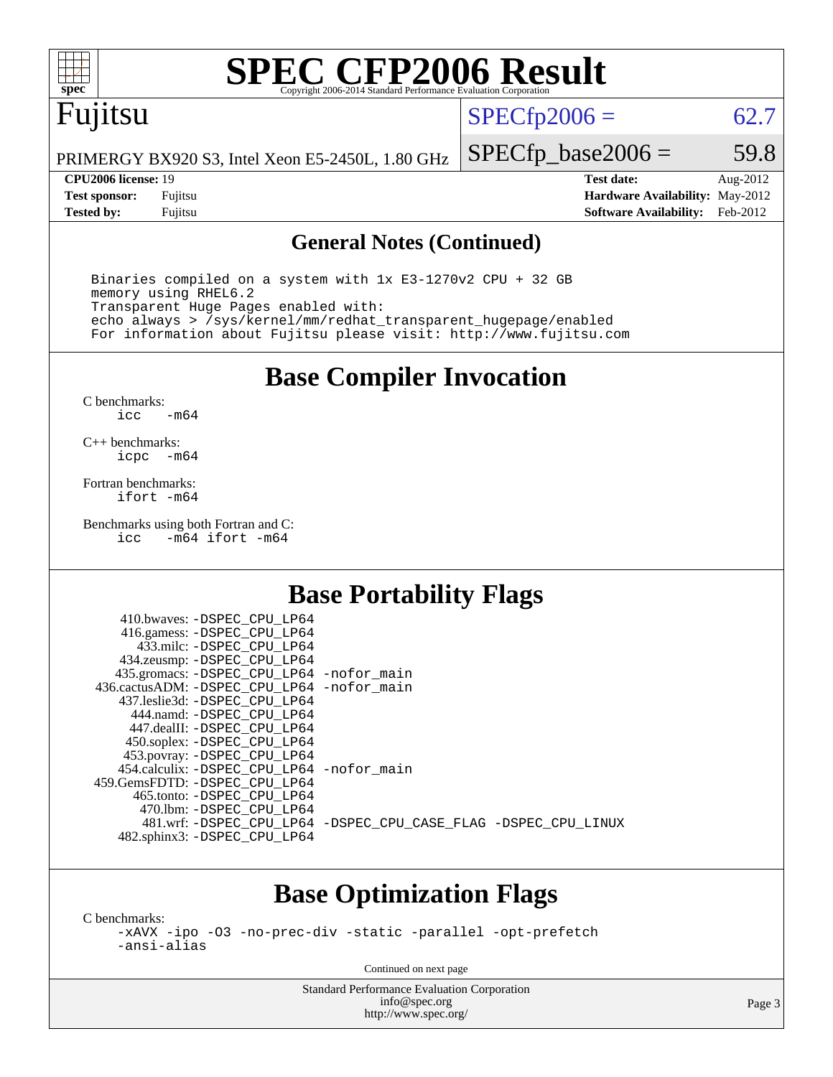

# **[SPEC CFP2006 Result](http://www.spec.org/auto/cpu2006/Docs/result-fields.html#SPECCFP2006Result)**

# Fujitsu

 $SPECfp2006 = 62.7$  $SPECfp2006 = 62.7$ 

PRIMERGY BX920 S3, Intel Xeon E5-2450L, 1.80 GHz

**[Tested by:](http://www.spec.org/auto/cpu2006/Docs/result-fields.html#Testedby)** Fujitsu **[Software Availability:](http://www.spec.org/auto/cpu2006/Docs/result-fields.html#SoftwareAvailability)** Feb-2012

**[CPU2006 license:](http://www.spec.org/auto/cpu2006/Docs/result-fields.html#CPU2006license)** 19 **[Test date:](http://www.spec.org/auto/cpu2006/Docs/result-fields.html#Testdate)** Aug-2012 **[Test sponsor:](http://www.spec.org/auto/cpu2006/Docs/result-fields.html#Testsponsor)** Fujitsu **[Hardware Availability:](http://www.spec.org/auto/cpu2006/Docs/result-fields.html#HardwareAvailability)** May-2012

 $SPECTp\_base2006 = 59.8$ 

#### **[General Notes \(Continued\)](http://www.spec.org/auto/cpu2006/Docs/result-fields.html#GeneralNotes)**

 Binaries compiled on a system with 1x E3-1270v2 CPU + 32 GB memory using RHEL6.2 Transparent Huge Pages enabled with: echo always > /sys/kernel/mm/redhat\_transparent\_hugepage/enabled For information about Fujitsu please visit: <http://www.fujitsu.com>

#### **[Base Compiler Invocation](http://www.spec.org/auto/cpu2006/Docs/result-fields.html#BaseCompilerInvocation)**

[C benchmarks](http://www.spec.org/auto/cpu2006/Docs/result-fields.html#Cbenchmarks):  $\text{icc}$   $-\text{m64}$ 

[C++ benchmarks:](http://www.spec.org/auto/cpu2006/Docs/result-fields.html#CXXbenchmarks) [icpc -m64](http://www.spec.org/cpu2006/results/res2012q3/cpu2006-20120823-24295.flags.html#user_CXXbase_intel_icpc_64bit_bedb90c1146cab66620883ef4f41a67e)

[Fortran benchmarks](http://www.spec.org/auto/cpu2006/Docs/result-fields.html#Fortranbenchmarks): [ifort -m64](http://www.spec.org/cpu2006/results/res2012q3/cpu2006-20120823-24295.flags.html#user_FCbase_intel_ifort_64bit_ee9d0fb25645d0210d97eb0527dcc06e)

[Benchmarks using both Fortran and C](http://www.spec.org/auto/cpu2006/Docs/result-fields.html#BenchmarksusingbothFortranandC):<br>icc -m64 ifort -m64  $-m64$  ifort  $-m64$ 

#### **[Base Portability Flags](http://www.spec.org/auto/cpu2006/Docs/result-fields.html#BasePortabilityFlags)**

| 410.bwaves: -DSPEC CPU LP64                  |                                                                |
|----------------------------------------------|----------------------------------------------------------------|
| 416.gamess: -DSPEC_CPU_LP64                  |                                                                |
| 433.milc: -DSPEC CPU LP64                    |                                                                |
| 434.zeusmp: - DSPEC_CPU_LP64                 |                                                                |
| 435.gromacs: -DSPEC_CPU_LP64 -nofor_main     |                                                                |
| 436.cactusADM: - DSPEC CPU LP64 - nofor main |                                                                |
| 437.leslie3d: -DSPEC CPU LP64                |                                                                |
| 444.namd: -DSPEC CPU LP64                    |                                                                |
| 447.dealII: -DSPEC CPU LP64                  |                                                                |
| 450.soplex: - DSPEC_CPU_LP64                 |                                                                |
| 453.povray: -DSPEC_CPU_LP64                  |                                                                |
| 454.calculix: - DSPEC CPU LP64 - nofor main  |                                                                |
| 459. GemsFDTD: - DSPEC CPU LP64              |                                                                |
| 465.tonto: - DSPEC CPU LP64                  |                                                                |
| 470.1bm: - DSPEC CPU LP64                    |                                                                |
|                                              | 481.wrf: -DSPEC CPU_LP64 -DSPEC_CPU_CASE_FLAG -DSPEC_CPU_LINUX |
| 482.sphinx3: -DSPEC_CPU_LP64                 |                                                                |
|                                              |                                                                |

#### **[Base Optimization Flags](http://www.spec.org/auto/cpu2006/Docs/result-fields.html#BaseOptimizationFlags)**

[C benchmarks](http://www.spec.org/auto/cpu2006/Docs/result-fields.html#Cbenchmarks):

[-xAVX](http://www.spec.org/cpu2006/results/res2012q3/cpu2006-20120823-24295.flags.html#user_CCbase_f-xAVX) [-ipo](http://www.spec.org/cpu2006/results/res2012q3/cpu2006-20120823-24295.flags.html#user_CCbase_f-ipo) [-O3](http://www.spec.org/cpu2006/results/res2012q3/cpu2006-20120823-24295.flags.html#user_CCbase_f-O3) [-no-prec-div](http://www.spec.org/cpu2006/results/res2012q3/cpu2006-20120823-24295.flags.html#user_CCbase_f-no-prec-div) [-static](http://www.spec.org/cpu2006/results/res2012q3/cpu2006-20120823-24295.flags.html#user_CCbase_f-static) [-parallel](http://www.spec.org/cpu2006/results/res2012q3/cpu2006-20120823-24295.flags.html#user_CCbase_f-parallel) [-opt-prefetch](http://www.spec.org/cpu2006/results/res2012q3/cpu2006-20120823-24295.flags.html#user_CCbase_f-opt-prefetch) [-ansi-alias](http://www.spec.org/cpu2006/results/res2012q3/cpu2006-20120823-24295.flags.html#user_CCbase_f-ansi-alias)

Continued on next page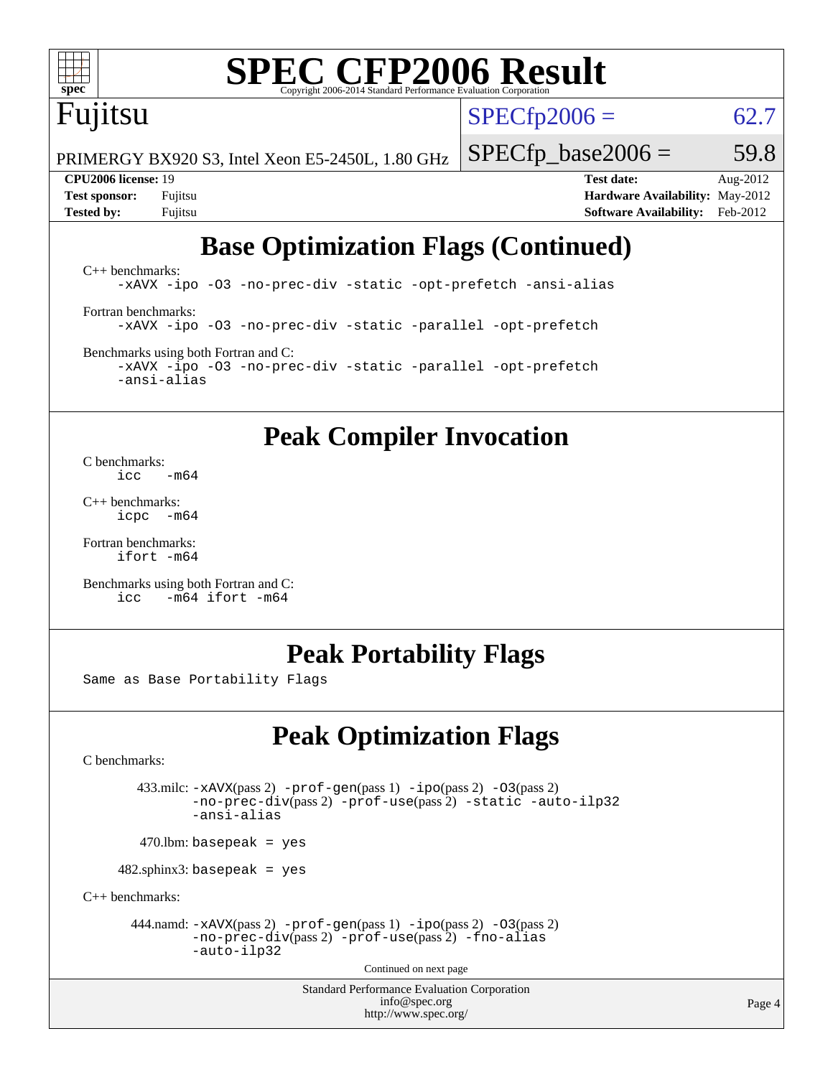

# **[SPEC CFP2006 Result](http://www.spec.org/auto/cpu2006/Docs/result-fields.html#SPECCFP2006Result)**

Fujitsu

 $SPECTp2006 = 62.7$ 

PRIMERGY BX920 S3, Intel Xeon E5-2450L, 1.80 GHz

 $SPECTp\_base2006 = 59.8$ 

**[CPU2006 license:](http://www.spec.org/auto/cpu2006/Docs/result-fields.html#CPU2006license)** 19 **[Test date:](http://www.spec.org/auto/cpu2006/Docs/result-fields.html#Testdate)** Aug-2012 **[Test sponsor:](http://www.spec.org/auto/cpu2006/Docs/result-fields.html#Testsponsor)** Fujitsu **[Hardware Availability:](http://www.spec.org/auto/cpu2006/Docs/result-fields.html#HardwareAvailability)** May-2012 **[Tested by:](http://www.spec.org/auto/cpu2006/Docs/result-fields.html#Testedby)** Fujitsu **[Software Availability:](http://www.spec.org/auto/cpu2006/Docs/result-fields.html#SoftwareAvailability)** Feb-2012

# **[Base Optimization Flags \(Continued\)](http://www.spec.org/auto/cpu2006/Docs/result-fields.html#BaseOptimizationFlags)**

[C++ benchmarks:](http://www.spec.org/auto/cpu2006/Docs/result-fields.html#CXXbenchmarks) [-xAVX](http://www.spec.org/cpu2006/results/res2012q3/cpu2006-20120823-24295.flags.html#user_CXXbase_f-xAVX) [-ipo](http://www.spec.org/cpu2006/results/res2012q3/cpu2006-20120823-24295.flags.html#user_CXXbase_f-ipo) [-O3](http://www.spec.org/cpu2006/results/res2012q3/cpu2006-20120823-24295.flags.html#user_CXXbase_f-O3) [-no-prec-div](http://www.spec.org/cpu2006/results/res2012q3/cpu2006-20120823-24295.flags.html#user_CXXbase_f-no-prec-div) [-static](http://www.spec.org/cpu2006/results/res2012q3/cpu2006-20120823-24295.flags.html#user_CXXbase_f-static) [-opt-prefetch](http://www.spec.org/cpu2006/results/res2012q3/cpu2006-20120823-24295.flags.html#user_CXXbase_f-opt-prefetch) [-ansi-alias](http://www.spec.org/cpu2006/results/res2012q3/cpu2006-20120823-24295.flags.html#user_CXXbase_f-ansi-alias) [Fortran benchmarks](http://www.spec.org/auto/cpu2006/Docs/result-fields.html#Fortranbenchmarks): [-xAVX](http://www.spec.org/cpu2006/results/res2012q3/cpu2006-20120823-24295.flags.html#user_FCbase_f-xAVX) [-ipo](http://www.spec.org/cpu2006/results/res2012q3/cpu2006-20120823-24295.flags.html#user_FCbase_f-ipo) [-O3](http://www.spec.org/cpu2006/results/res2012q3/cpu2006-20120823-24295.flags.html#user_FCbase_f-O3) [-no-prec-div](http://www.spec.org/cpu2006/results/res2012q3/cpu2006-20120823-24295.flags.html#user_FCbase_f-no-prec-div) [-static](http://www.spec.org/cpu2006/results/res2012q3/cpu2006-20120823-24295.flags.html#user_FCbase_f-static) [-parallel](http://www.spec.org/cpu2006/results/res2012q3/cpu2006-20120823-24295.flags.html#user_FCbase_f-parallel) [-opt-prefetch](http://www.spec.org/cpu2006/results/res2012q3/cpu2006-20120823-24295.flags.html#user_FCbase_f-opt-prefetch) [Benchmarks using both Fortran and C](http://www.spec.org/auto/cpu2006/Docs/result-fields.html#BenchmarksusingbothFortranandC):

[-xAVX](http://www.spec.org/cpu2006/results/res2012q3/cpu2006-20120823-24295.flags.html#user_CC_FCbase_f-xAVX) [-ipo](http://www.spec.org/cpu2006/results/res2012q3/cpu2006-20120823-24295.flags.html#user_CC_FCbase_f-ipo) [-O3](http://www.spec.org/cpu2006/results/res2012q3/cpu2006-20120823-24295.flags.html#user_CC_FCbase_f-O3) [-no-prec-div](http://www.spec.org/cpu2006/results/res2012q3/cpu2006-20120823-24295.flags.html#user_CC_FCbase_f-no-prec-div) [-static](http://www.spec.org/cpu2006/results/res2012q3/cpu2006-20120823-24295.flags.html#user_CC_FCbase_f-static) [-parallel](http://www.spec.org/cpu2006/results/res2012q3/cpu2006-20120823-24295.flags.html#user_CC_FCbase_f-parallel) [-opt-prefetch](http://www.spec.org/cpu2006/results/res2012q3/cpu2006-20120823-24295.flags.html#user_CC_FCbase_f-opt-prefetch) [-ansi-alias](http://www.spec.org/cpu2006/results/res2012q3/cpu2006-20120823-24295.flags.html#user_CC_FCbase_f-ansi-alias)

## **[Peak Compiler Invocation](http://www.spec.org/auto/cpu2006/Docs/result-fields.html#PeakCompilerInvocation)**

[C benchmarks](http://www.spec.org/auto/cpu2006/Docs/result-fields.html#Cbenchmarks):  $\frac{1}{2}$ cc  $-\text{m64}$ 

[C++ benchmarks:](http://www.spec.org/auto/cpu2006/Docs/result-fields.html#CXXbenchmarks) [icpc -m64](http://www.spec.org/cpu2006/results/res2012q3/cpu2006-20120823-24295.flags.html#user_CXXpeak_intel_icpc_64bit_bedb90c1146cab66620883ef4f41a67e)

[Fortran benchmarks](http://www.spec.org/auto/cpu2006/Docs/result-fields.html#Fortranbenchmarks): [ifort -m64](http://www.spec.org/cpu2006/results/res2012q3/cpu2006-20120823-24295.flags.html#user_FCpeak_intel_ifort_64bit_ee9d0fb25645d0210d97eb0527dcc06e)

[Benchmarks using both Fortran and C](http://www.spec.org/auto/cpu2006/Docs/result-fields.html#BenchmarksusingbothFortranandC): [icc -m64](http://www.spec.org/cpu2006/results/res2012q3/cpu2006-20120823-24295.flags.html#user_CC_FCpeak_intel_icc_64bit_0b7121f5ab7cfabee23d88897260401c) [ifort -m64](http://www.spec.org/cpu2006/results/res2012q3/cpu2006-20120823-24295.flags.html#user_CC_FCpeak_intel_ifort_64bit_ee9d0fb25645d0210d97eb0527dcc06e)

## **[Peak Portability Flags](http://www.spec.org/auto/cpu2006/Docs/result-fields.html#PeakPortabilityFlags)**

Same as Base Portability Flags

# **[Peak Optimization Flags](http://www.spec.org/auto/cpu2006/Docs/result-fields.html#PeakOptimizationFlags)**

[C benchmarks](http://www.spec.org/auto/cpu2006/Docs/result-fields.html#Cbenchmarks):

 433.milc: [-xAVX](http://www.spec.org/cpu2006/results/res2012q3/cpu2006-20120823-24295.flags.html#user_peakPASS2_CFLAGSPASS2_LDFLAGS433_milc_f-xAVX)(pass 2) [-prof-gen](http://www.spec.org/cpu2006/results/res2012q3/cpu2006-20120823-24295.flags.html#user_peakPASS1_CFLAGSPASS1_LDFLAGS433_milc_prof_gen_e43856698f6ca7b7e442dfd80e94a8fc)(pass 1) [-ipo](http://www.spec.org/cpu2006/results/res2012q3/cpu2006-20120823-24295.flags.html#user_peakPASS2_CFLAGSPASS2_LDFLAGS433_milc_f-ipo)(pass 2) [-O3](http://www.spec.org/cpu2006/results/res2012q3/cpu2006-20120823-24295.flags.html#user_peakPASS2_CFLAGSPASS2_LDFLAGS433_milc_f-O3)(pass 2) [-no-prec-div](http://www.spec.org/cpu2006/results/res2012q3/cpu2006-20120823-24295.flags.html#user_peakPASS2_CFLAGSPASS2_LDFLAGS433_milc_f-no-prec-div)(pass 2) [-prof-use](http://www.spec.org/cpu2006/results/res2012q3/cpu2006-20120823-24295.flags.html#user_peakPASS2_CFLAGSPASS2_LDFLAGS433_milc_prof_use_bccf7792157ff70d64e32fe3e1250b55)(pass 2) [-static](http://www.spec.org/cpu2006/results/res2012q3/cpu2006-20120823-24295.flags.html#user_peakOPTIMIZE433_milc_f-static) [-auto-ilp32](http://www.spec.org/cpu2006/results/res2012q3/cpu2006-20120823-24295.flags.html#user_peakCOPTIMIZE433_milc_f-auto-ilp32) [-ansi-alias](http://www.spec.org/cpu2006/results/res2012q3/cpu2006-20120823-24295.flags.html#user_peakCOPTIMIZE433_milc_f-ansi-alias)

 $470.$ lbm: basepeak = yes

482.sphinx3: basepeak = yes

[C++ benchmarks:](http://www.spec.org/auto/cpu2006/Docs/result-fields.html#CXXbenchmarks)

444.namd:  $-xAVX(pass 2)$  $-xAVX(pass 2)$  [-prof-gen](http://www.spec.org/cpu2006/results/res2012q3/cpu2006-20120823-24295.flags.html#user_peakPASS1_CXXFLAGSPASS1_LDFLAGS444_namd_prof_gen_e43856698f6ca7b7e442dfd80e94a8fc)(pass 1) [-ipo](http://www.spec.org/cpu2006/results/res2012q3/cpu2006-20120823-24295.flags.html#user_peakPASS2_CXXFLAGSPASS2_LDFLAGS444_namd_f-ipo)(pass 2) [-O3](http://www.spec.org/cpu2006/results/res2012q3/cpu2006-20120823-24295.flags.html#user_peakPASS2_CXXFLAGSPASS2_LDFLAGS444_namd_f-O3)(pass 2) [-no-prec-div](http://www.spec.org/cpu2006/results/res2012q3/cpu2006-20120823-24295.flags.html#user_peakPASS2_CXXFLAGSPASS2_LDFLAGS444_namd_f-no-prec-div)(pass 2) [-prof-use](http://www.spec.org/cpu2006/results/res2012q3/cpu2006-20120823-24295.flags.html#user_peakPASS2_CXXFLAGSPASS2_LDFLAGS444_namd_prof_use_bccf7792157ff70d64e32fe3e1250b55)(pass 2) [-fno-alias](http://www.spec.org/cpu2006/results/res2012q3/cpu2006-20120823-24295.flags.html#user_peakCXXOPTIMIZEOPTIMIZE444_namd_f-no-alias_694e77f6c5a51e658e82ccff53a9e63a) [-auto-ilp32](http://www.spec.org/cpu2006/results/res2012q3/cpu2006-20120823-24295.flags.html#user_peakCXXOPTIMIZE444_namd_f-auto-ilp32)

Continued on next page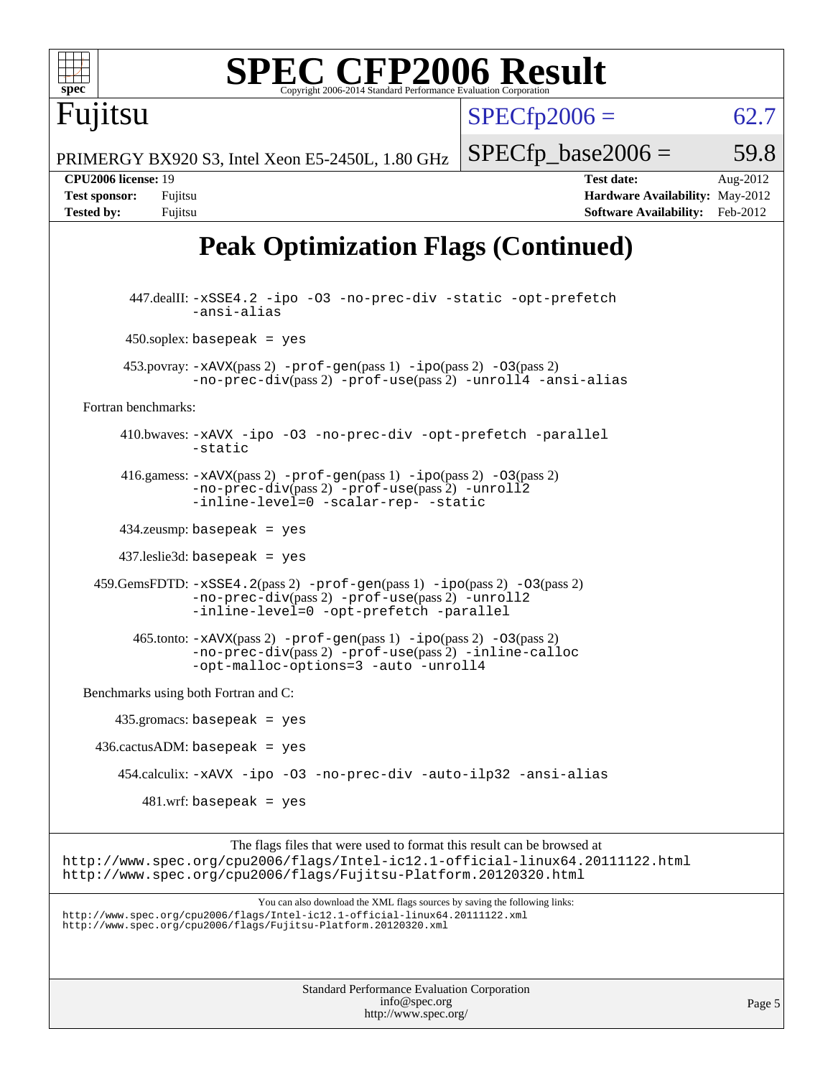

 459.GemsFDTD: [-xSSE4.2](http://www.spec.org/cpu2006/results/res2012q3/cpu2006-20120823-24295.flags.html#user_peakPASS2_FFLAGSPASS2_LDFLAGS459_GemsFDTD_f-xSSE42_f91528193cf0b216347adb8b939d4107)(pass 2) [-prof-gen](http://www.spec.org/cpu2006/results/res2012q3/cpu2006-20120823-24295.flags.html#user_peakPASS1_FFLAGSPASS1_LDFLAGS459_GemsFDTD_prof_gen_e43856698f6ca7b7e442dfd80e94a8fc)(pass 1) [-ipo](http://www.spec.org/cpu2006/results/res2012q3/cpu2006-20120823-24295.flags.html#user_peakPASS2_FFLAGSPASS2_LDFLAGS459_GemsFDTD_f-ipo)(pass 2) [-O3](http://www.spec.org/cpu2006/results/res2012q3/cpu2006-20120823-24295.flags.html#user_peakPASS2_FFLAGSPASS2_LDFLAGS459_GemsFDTD_f-O3)(pass 2) [-no-prec-div](http://www.spec.org/cpu2006/results/res2012q3/cpu2006-20120823-24295.flags.html#user_peakPASS2_FFLAGSPASS2_LDFLAGS459_GemsFDTD_f-no-prec-div)(pass 2) [-prof-use](http://www.spec.org/cpu2006/results/res2012q3/cpu2006-20120823-24295.flags.html#user_peakPASS2_FFLAGSPASS2_LDFLAGS459_GemsFDTD_prof_use_bccf7792157ff70d64e32fe3e1250b55)(pass 2) [-unroll2](http://www.spec.org/cpu2006/results/res2012q3/cpu2006-20120823-24295.flags.html#user_peakOPTIMIZE459_GemsFDTD_f-unroll_784dae83bebfb236979b41d2422d7ec2) [-inline-level=0](http://www.spec.org/cpu2006/results/res2012q3/cpu2006-20120823-24295.flags.html#user_peakOPTIMIZE459_GemsFDTD_f-inline-level_318d07a09274ad25e8d15dbfaa68ba50) [-opt-prefetch](http://www.spec.org/cpu2006/results/res2012q3/cpu2006-20120823-24295.flags.html#user_peakOPTIMIZE459_GemsFDTD_f-opt-prefetch) [-parallel](http://www.spec.org/cpu2006/results/res2012q3/cpu2006-20120823-24295.flags.html#user_peakOPTIMIZE459_GemsFDTD_f-parallel)

 $465$ .tonto:  $-x$ AVX(pass 2)  $-p$ rof-gen(pass 1)  $-p$ o(pass 2)  $-03$ (pass 2) [-no-prec-div](http://www.spec.org/cpu2006/results/res2012q3/cpu2006-20120823-24295.flags.html#user_peakPASS2_FFLAGSPASS2_LDFLAGS465_tonto_f-no-prec-div)(pass 2) [-prof-use](http://www.spec.org/cpu2006/results/res2012q3/cpu2006-20120823-24295.flags.html#user_peakPASS2_FFLAGSPASS2_LDFLAGS465_tonto_prof_use_bccf7792157ff70d64e32fe3e1250b55)(pass 2) [-inline-calloc](http://www.spec.org/cpu2006/results/res2012q3/cpu2006-20120823-24295.flags.html#user_peakOPTIMIZE465_tonto_f-inline-calloc) [-opt-malloc-options=3](http://www.spec.org/cpu2006/results/res2012q3/cpu2006-20120823-24295.flags.html#user_peakOPTIMIZE465_tonto_f-opt-malloc-options_13ab9b803cf986b4ee62f0a5998c2238) [-auto](http://www.spec.org/cpu2006/results/res2012q3/cpu2006-20120823-24295.flags.html#user_peakOPTIMIZE465_tonto_f-auto) [-unroll4](http://www.spec.org/cpu2006/results/res2012q3/cpu2006-20120823-24295.flags.html#user_peakOPTIMIZE465_tonto_f-unroll_4e5e4ed65b7fd20bdcd365bec371b81f)

[Benchmarks using both Fortran and C](http://www.spec.org/auto/cpu2006/Docs/result-fields.html#BenchmarksusingbothFortranandC):

 435.gromacs: basepeak = yes 436.cactusADM: basepeak = yes 454.calculix: [-xAVX](http://www.spec.org/cpu2006/results/res2012q3/cpu2006-20120823-24295.flags.html#user_peakOPTIMIZE454_calculix_f-xAVX) [-ipo](http://www.spec.org/cpu2006/results/res2012q3/cpu2006-20120823-24295.flags.html#user_peakOPTIMIZE454_calculix_f-ipo) [-O3](http://www.spec.org/cpu2006/results/res2012q3/cpu2006-20120823-24295.flags.html#user_peakOPTIMIZE454_calculix_f-O3) [-no-prec-div](http://www.spec.org/cpu2006/results/res2012q3/cpu2006-20120823-24295.flags.html#user_peakOPTIMIZE454_calculix_f-no-prec-div) [-auto-ilp32](http://www.spec.org/cpu2006/results/res2012q3/cpu2006-20120823-24295.flags.html#user_peakCOPTIMIZE454_calculix_f-auto-ilp32) [-ansi-alias](http://www.spec.org/cpu2006/results/res2012q3/cpu2006-20120823-24295.flags.html#user_peakCOPTIMIZE454_calculix_f-ansi-alias)  $481.$ wrf: basepeak = yes

The flags files that were used to format this result can be browsed at <http://www.spec.org/cpu2006/flags/Intel-ic12.1-official-linux64.20111122.html> <http://www.spec.org/cpu2006/flags/Fujitsu-Platform.20120320.html>

You can also download the XML flags sources by saving the following links: <http://www.spec.org/cpu2006/flags/Intel-ic12.1-official-linux64.20111122.xml> <http://www.spec.org/cpu2006/flags/Fujitsu-Platform.20120320.xml>